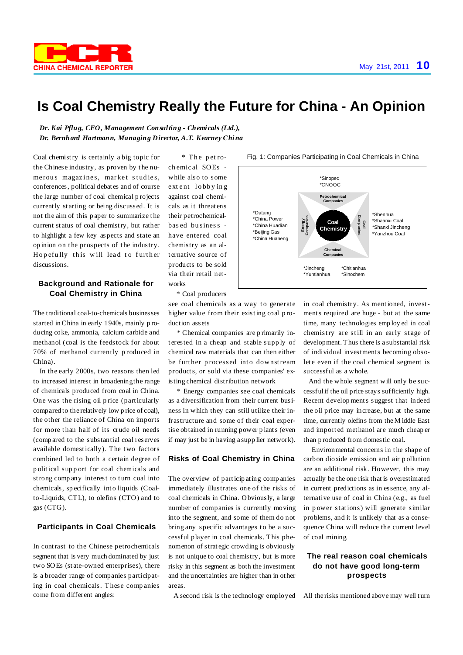

# **Is Coal Chemistry Really the Future for China - An Opinion**

*Dr. Kai Pflug, CEO, Management Consulting - Chemi cals (Ltd.), Dr. Bernhard Hartmann, Managing Director, A.T. Kearney China*

Coal chemistry is certainly a big topic for the Chinese industry, as proven by t he nume rous magazines, market studies, conferences, political debat es and of course the large number of coal chemical p rojects currently st arting or being discussed. It is not the aim of this p aper to summarize t he current st atus of coal chemistry, but rather to highlight a few key aspects and state an op inion on t he prospects of t he industry. Hopefully this will lead to further discussions.

#### **Background and Rationale for Coal Chemistry in China**

The traditional coal-to-chemicals businesses started inChina in early 1940s, mainly p roducing coke, ammonia, calcium carbide and methanol (coal is the feedstock for about 70% of met hanol currently p roduced in China).

In the early 2000s, two reasons then led to increased int erest in broadeningthe range of chemicals produced from coal in China. One was the rising oil p rice (particularly compared to the relatively low p rice of coal), the other the reliance of China on imports for more than half of its crude oil needs (comp ared to the substantial coal reserves available domestically). The two fact ors combined led to both a certain degree of p olitical sup p ort for coal chemicals and strong company interest to turn coal into chemicals, sp ecifically int o liquids (Coalto-Liquids, CTL), to olefins (CTO) and to gas (CTG).

## **Participants in Coal Chemicals**

In contrast to the Chinese petrochemicals segment that is very much dominated by just two SOEs (st ate-owned enterprises), there is a broader range of companies participating in coal chemicals. These comp anies come from different angles:

\* The petroch emic al SOEs while also to some e xt ent lobby in g against coal chemicals as it threat ens their petrochemicalbas ed bu siness have entered coal chemistry as an alternative source of products to be sold via their retail networks

**Coal Chemistry Petrochemical Companies Coal Companies Energy Companies Chemical Companies** \*Shenhua \*Shaanxi Coal \*Shanxi Jincheng \*Yanzhou Coal \*Datang \*China Power \*China Huadian \*Beijing Gas \*China Huaneng \*Sinopec \*CNOOC \*Jincheng \*Yuntianhua \*Chitianhua \*Sinochem

Fig. 1: Companies Participating in Coal Chemicals in China

\* Coal producers

see coal chemicals as a way to generate higher value from their existing coal production assets

\* Chemical companies are p rimarily int erested in a cheap and st able supp ly of chemical raw materials that can then either be further processed into downstream products, or sold via these companies' existing chemical distribution network

\* Energy companies see coal chemicals as a diversification from their current business in which they can still utilize their infrastructure and some of their coal expertise obtained in running power p lants (even if may just be in having a supp lier network).

### **Risks of Coal Chemistry in China**

The overview of particip ating comp anies immediately illustrates one of the risks of coal chemicals in China. Obviously, a large number of companies is currently moving into the segment, and some of them do not bring any specific advantages to be a successful player in coal chemicals. This phenomenon of strat egic crowding is obviously is not unique to coal chemistry, but is more risky in this segment as both the investment and the uncertainties are higher than in ot her areas.

A second risk is the technology employed

in coal chemistry. As mentioned, investments required are huge - but at the same time, many technologies emp loy ed in coal chemistry are still in an early stage of development. Thus there is a substantial risk of individual investments becoming obsolete even if the coal chemical segment is successful as a whole.

And the whole segment will only be successfulif the oil price stays sufficiently high. Recent developments suggest that indeed the oil price may increase, but at the same time, currently olefins from theM iddle East and import ed met hanol are much cheap er than p roduced from domestic coal.

Environmental concerns in the shape of carbon dioxide emission and air p ollution are an additional risk. However, this may actually be the one risk that is overestimated in current predictions as in essence, any alternative use of coal in China (e.g., as fuel in p ower st ations) will generate similar problems, and it is unlikely that as a consequence China will reduce the current level of coal mining.

# **The real reason coal chemicals do not have good long-term prospects**

All the risks mentioned above may well turn